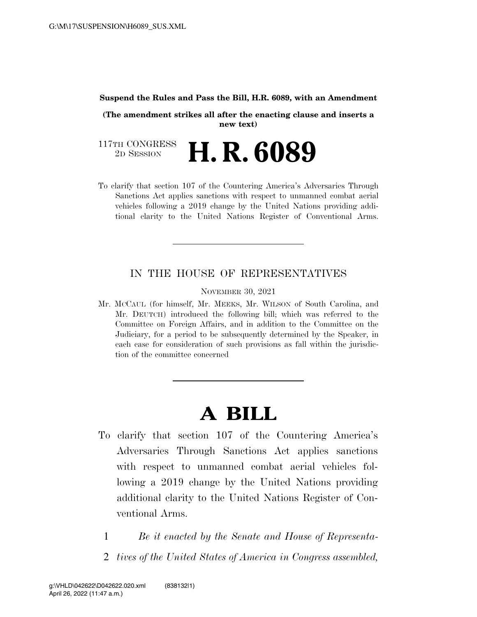#### **Suspend the Rules and Pass the Bill, H.R. 6089, with an Amendment**

**(The amendment strikes all after the enacting clause and inserts a new text)** 

117TH CONGRESS<br>2D SESSION 2D SESSION **H. R. 6089** 

To clarify that section 107 of the Countering America's Adversaries Through Sanctions Act applies sanctions with respect to unmanned combat aerial vehicles following a 2019 change by the United Nations providing additional clarity to the United Nations Register of Conventional Arms.

### IN THE HOUSE OF REPRESENTATIVES

NOVEMBER 30, 2021

Mr. MCCAUL (for himself, Mr. MEEKS, Mr. WILSON of South Carolina, and Mr. DEUTCH) introduced the following bill; which was referred to the Committee on Foreign Affairs, and in addition to the Committee on the Judiciary, for a period to be subsequently determined by the Speaker, in each case for consideration of such provisions as fall within the jurisdiction of the committee concerned

# **A BILL**

- To clarify that section 107 of the Countering America's Adversaries Through Sanctions Act applies sanctions with respect to unmanned combat aerial vehicles following a 2019 change by the United Nations providing additional clarity to the United Nations Register of Conventional Arms.
	- 1 *Be it enacted by the Senate and House of Representa-*
	- 2 *tives of the United States of America in Congress assembled,*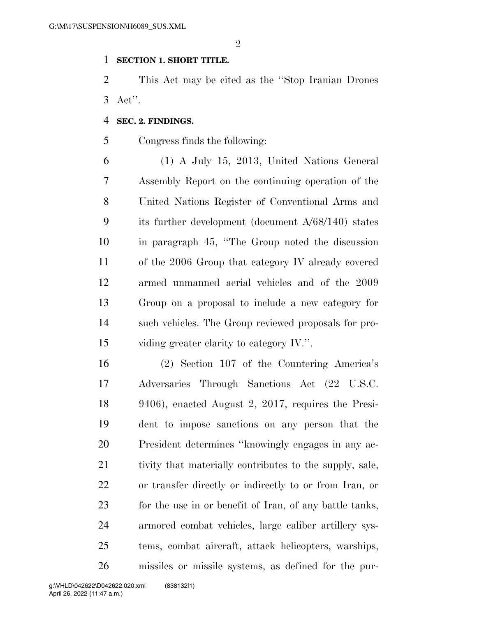$\mathfrak{D}$ 

#### **SECTION 1. SHORT TITLE.**

 This Act may be cited as the ''Stop Iranian Drones Act''.

#### **SEC. 2. FINDINGS.**

Congress finds the following:

 (1) A July 15, 2013, United Nations General Assembly Report on the continuing operation of the United Nations Register of Conventional Arms and its further development (document A/68/140) states in paragraph 45, ''The Group noted the discussion of the 2006 Group that category IV already covered armed unmanned aerial vehicles and of the 2009 Group on a proposal to include a new category for such vehicles. The Group reviewed proposals for pro-viding greater clarity to category IV.''.

 (2) Section 107 of the Countering America's Adversaries Through Sanctions Act (22 U.S.C. 9406), enacted August 2, 2017, requires the Presi- dent to impose sanctions on any person that the President determines ''knowingly engages in any ac- tivity that materially contributes to the supply, sale, or transfer directly or indirectly to or from Iran, or 23 for the use in or benefit of Iran, of any battle tanks, armored combat vehicles, large caliber artillery sys- tems, combat aircraft, attack helicopters, warships, missiles or missile systems, as defined for the pur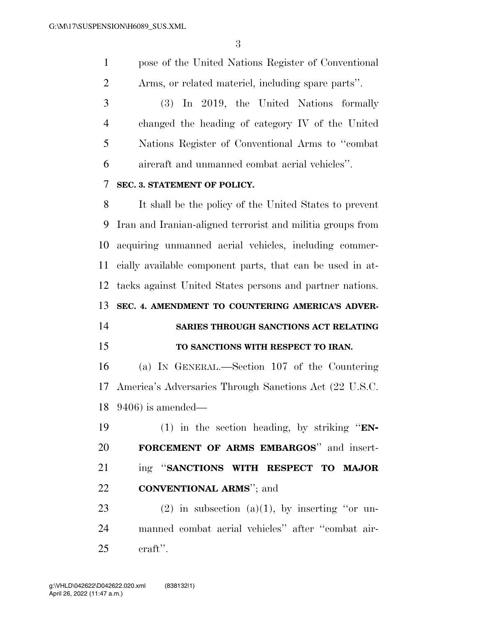pose of the United Nations Register of Conventional Arms, or related materiel, including spare parts''.

 (3) In 2019, the United Nations formally changed the heading of category IV of the United Nations Register of Conventional Arms to ''combat aircraft and unmanned combat aerial vehicles''.

#### **SEC. 3. STATEMENT OF POLICY.**

 It shall be the policy of the United States to prevent Iran and Iranian-aligned terrorist and militia groups from acquiring unmanned aerial vehicles, including commer- cially available component parts, that can be used in at- tacks against United States persons and partner nations. **SEC. 4. AMENDMENT TO COUNTERING AMERICA'S ADVER-**

## **SARIES THROUGH SANCTIONS ACT RELATING TO SANCTIONS WITH RESPECT TO IRAN.**

 (a) IN GENERAL.—Section 107 of the Countering America's Adversaries Through Sanctions Act (22 U.S.C. 9406) is amended—

 (1) in the section heading, by striking ''**EN- FORCEMENT OF ARMS EMBARGOS**'' and insert- ing ''**SANCTIONS WITH RESPECT TO MAJOR CONVENTIONAL ARMS**''; and

23 (2) in subsection (a)(1), by inserting "or un- manned combat aerial vehicles'' after ''combat air-craft''.